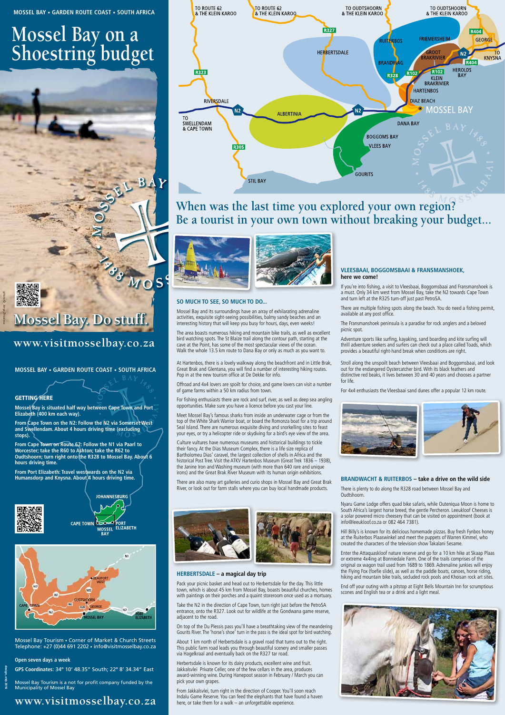

# **www.visitmosselbay.co.za**

# **Mossel Bay on a Shoestring budget**



**MOSSEL BAY • GARDEN ROUTE COAST • SOUTH AFRICA**

# **www.visitmosselbay.co.za**



**design, et© 2016**

#### **Open seven days a week**

**GPS Coordinates**: 34º 10' 48.35" South; 22º 8' 34.34" East

Mossel Bay Tourism • Corner of Market & Church Streets Telephone: +27 (0)44 691 2202 • info@visitmosselbay.co.za

**MOSSEL BAY • GARDEN ROUTE COAST • SOUTH AFRICA**

# **GETTING HERE**

Mossel Bay Tourism is a not for profit company funded by the Municipality of Mossel Bay

**Mossel Bay is situated half way between Cape Town and Port Elizabeth (400 km each way).**

**From Cape Town on the N2: Follow the N2 via Somerset West and Swellendam. About 4 hours driving time (excluding stops).**

**From Cape Town on Route 62: Follow the N1 via Paarl to Worcester; take the R60 to Ashton; take the R62 to Oudtshoorn; turn right onto the R328 to Mossel Bay. About 6 hours driving time.**

**From Port Elizabeth: Travel westwards on the N2 via Humansdorp and Knysna. About 4 hours driving time.**







# **VLEESBAAI, BOGGOMSBAAI & FRANSMANSHOEK, here we come!**

If you're into fishing, a visit to Vleesbaai, Boggomsbaai and Fransmanshoek is a must. Only 34 km west from Mossel Bay, take the N2 towards Cape Town and turn left at the R325 turn-off just past PetroSA.

There are multiple fishing spots along the beach. You do need a fishing permit, available at any post office.

The Fransmanshoek peninsula is a paradise for rock anglers and a beloved picnic spot.

Adventure sports like surfing, kayaking, sand boarding and kite surfing will thrill adventure seekers and surfers can check out a place called Toads, which provides a beautiful right-hand break when conditions are right.

At Hartenbos, there is a lovely walkway along the beachfront and in Little Brak, Great Brak and Glentana, you will find a number of interesting hiking routes. Pop in at the new tourism office at De Dekke for info.

Offroad and 4x4 lovers are spoilt for choice, and game lovers can visit a number of game farms within a 50 km radius from town.

For fishing enthusiasts there are rock and surf, river, as well as deep sea angling opportunities. Make sure you have a licence before you cast your line.

Meet Mossel Bay's famous sharks from inside an underwater cage or from the top of the White Shark Warrior boat, or board the Romonza boat for a trip around Seal Island. There are numerous exquisite diving and snorkelling sites to feast your eyes, or try a helicopter ride or skydiving for a bird's eye view of the area.

Culture vultures have numerous museums and historical buildings to tickle their fancy. At the Dias Museum Complex, there is a life size replica of Bartholomeu Dias' caravel, the largest collection of shells in Africa and the historical Post Tree. Visit the ATKV Hartenbos Museum (Great Trek 1836 – 1938), the Janine Iron and Washing museum (with more than 640 rare and unique irons) and the Great Brak River Museum with its human origin exhibitions.

There are also many art galleries and curio shops in Mossel Bay and Great Brak River, or look out for farm stalls where you can buy local handmade products.





# **HERBERTSDALE – a magical day trip**

Pack your picnic basket and head out to Herbertsdale for the day. This little town, which is about 45 km from Mossel Bay, boasts beautiful churches, homes with paintings on their porches and a quaint storeroom once used as a mortuary.

Take the N2 in the direction of Cape Town, turn right just before the PetroSA entrance, onto the R327. Look out for wildlife at the Gondwana game reserve, adjacent to the road.

On top of the Du Plessis pass you'll have a breathtaking view of the meandering Gourits River. The 'horse's shoe' turn in the pass is the ideal spot for bird watching.

About 1 km north of Herbertsdale is a gravel road that turns out to the right. This public farm road leads you through beautiful scenery and smaller passes via Hagelkraal and eventually back on the R327 tar road.

Herbertsdale is known for its dairy products, excellent wine and fruit. Jakkalsvlei Private Celler, one of the few cellars in the area, produces award-winning wine. During Hanepoot season in February / March you can pick your own grapes.

From Jakkalsvlei, turn right in the direction of Cooper. You'll soon reach Indalu Game Reserve. You can feed the elephants that have found a haven here, or take them for a walk – an unforgettable experience.

Stroll along the unspoilt beach between Vleesbaai and Boggomsbaai, and look out for the endangered Oystercatcher bird. With its black feathers and distinctive red beaks, it lives between 30 and 40 years and chooses a partner for life.

For 4x4 enthusiasts the Vleesbaai sand dunes offer a popular 12 km route.



# **BRANDWACHT & RUITERBOS – take a drive on the wild side**

There is plenty to do along the R328 road between Mossel Bay and Oudtshoorn.

Nyaru Game Lodge offers quad bike safaris, while Outeniqua Moon is home to South Africa's largest horse breed, the gentle Percheron. Leeukloof Cheeses is a solar powered micro cheesery that can be visited on appointment (book at info@leeukloof.co.za or 082 464 7381).

Hill Billy's is known for its delicious homemade pizzas. Buy fresh Fynbos honey at the Ruiterbos Plaaswinkel and meet the puppets of Warren Kimmel, who



created the characters of the television show Takalani Sesame.

Enter the Attaquaskloof nature reserve and go for a 10 km hike at Skaap Plaas or extreme 4x4ing at Bonniedale Farm. One of the trails comprises of the original ox wagon trail used from 1689 to 1869. Adrenaline junkies will enjoy the Flying Fox (foefie slide), as well as the paddle boats, canoes, horse riding, hiking and mountain bike trails, secluded rock pools and Khoisan rock art sites.

End off your outing with a pitstop at Eight Bells Mountain Inn for scrumptious scones and English tea or a drink and a light meal.



# **So much to see, so much to do...**

Mossel Bay and its surroundings have an array of exhilarating adrenaline activities, exquisite sight-seeing possibilities, balmy sandy beaches and an interesting history that will keep you busy for hours, days, even weeks!

The area boasts numerous hiking and mountain bike trails, as well as excellent bird watching spots. The St Blaize trail along the contour path, starting at the cave at the Point, has some of the most spectacular views of the ocean. Walk the whole 13.5 km route to Dana Bay or only as much as you want to.

**When was the last time you explored your own region? Be a tourist in your own town without breaking your budget...**